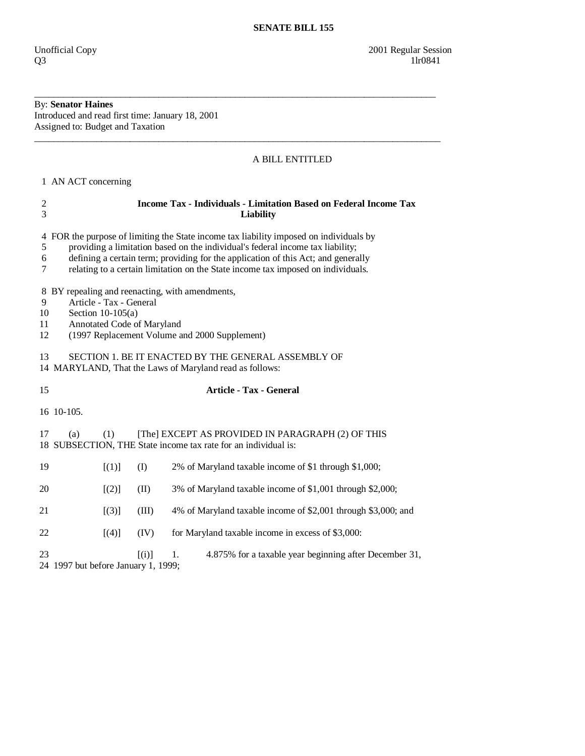## By: **Senator Haines**

Introduced and read first time: January 18, 2001 Assigned to: Budget and Taxation

## A BILL ENTITLED

1 AN ACT concerning

| $\frac{2}{3}$                                                                                                                                                                                              | <b>Income Tax - Individuals - Limitation Based on Federal Income Tax</b><br>Liability                                                                                                                                                                                                                                                           |       |                                                               |  |
|------------------------------------------------------------------------------------------------------------------------------------------------------------------------------------------------------------|-------------------------------------------------------------------------------------------------------------------------------------------------------------------------------------------------------------------------------------------------------------------------------------------------------------------------------------------------|-------|---------------------------------------------------------------|--|
| $\overline{4}$<br>5<br>6<br>7                                                                                                                                                                              | FOR the purpose of limiting the State income tax liability imposed on individuals by<br>providing a limitation based on the individual's federal income tax liability;<br>defining a certain term; providing for the application of this Act; and generally<br>relating to a certain limitation on the State income tax imposed on individuals. |       |                                                               |  |
| BY repealing and reenacting, with amendments,<br>8<br>9<br>Article - Tax - General<br>10<br>Section $10-105(a)$<br>Annotated Code of Maryland<br>11<br>12<br>(1997 Replacement Volume and 2000 Supplement) |                                                                                                                                                                                                                                                                                                                                                 |       |                                                               |  |
| SECTION 1. BE IT ENACTED BY THE GENERAL ASSEMBLY OF<br>13<br>14 MARYLAND, That the Laws of Maryland read as follows:                                                                                       |                                                                                                                                                                                                                                                                                                                                                 |       |                                                               |  |
| 15                                                                                                                                                                                                         | <b>Article - Tax - General</b>                                                                                                                                                                                                                                                                                                                  |       |                                                               |  |
|                                                                                                                                                                                                            | 16 10-105.                                                                                                                                                                                                                                                                                                                                      |       |                                                               |  |
| 17                                                                                                                                                                                                         | [The] EXCEPT AS PROVIDED IN PARAGRAPH (2) OF THIS<br>(a)<br>(1)<br>18 SUBSECTION, THE State income tax rate for an individual is:                                                                                                                                                                                                               |       |                                                               |  |
| 19                                                                                                                                                                                                         | [(1)]                                                                                                                                                                                                                                                                                                                                           | (I)   | 2% of Maryland taxable income of \$1 through \$1,000;         |  |
| 20                                                                                                                                                                                                         | [(2)]                                                                                                                                                                                                                                                                                                                                           | (II)  | 3% of Maryland taxable income of \$1,001 through \$2,000;     |  |
| 21                                                                                                                                                                                                         | $[ (3) ]$                                                                                                                                                                                                                                                                                                                                       | (III) | 4% of Maryland taxable income of \$2,001 through \$3,000; and |  |
| 22                                                                                                                                                                                                         | [(4)]                                                                                                                                                                                                                                                                                                                                           | (IV)  | for Maryland taxable income in excess of \$3,000:             |  |
| 23                                                                                                                                                                                                         | 0.4, 10071, 1.0                                                                                                                                                                                                                                                                                                                                 | [(i)] | 4.875% for a taxable year beginning after December 31,<br>1.  |  |

\_\_\_\_\_\_\_\_\_\_\_\_\_\_\_\_\_\_\_\_\_\_\_\_\_\_\_\_\_\_\_\_\_\_\_\_\_\_\_\_\_\_\_\_\_\_\_\_\_\_\_\_\_\_\_\_\_\_\_\_\_\_\_\_\_\_\_\_\_\_\_\_\_\_\_\_\_\_\_\_\_\_\_\_

\_\_\_\_\_\_\_\_\_\_\_\_\_\_\_\_\_\_\_\_\_\_\_\_\_\_\_\_\_\_\_\_\_\_\_\_\_\_\_\_\_\_\_\_\_\_\_\_\_\_\_\_\_\_\_\_\_\_\_\_\_\_\_\_\_\_\_\_\_\_\_\_\_\_\_\_\_\_\_\_\_\_\_\_\_

24 1997 but before January 1, 1999;